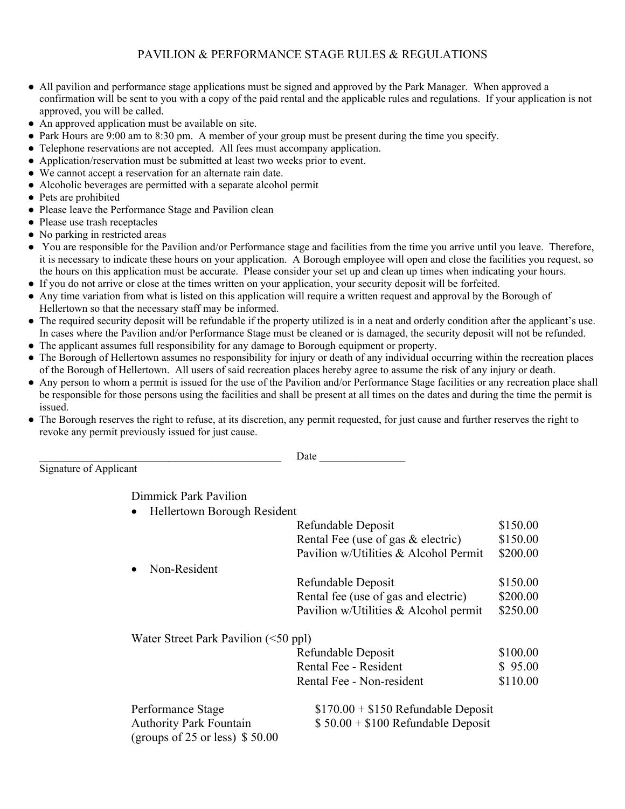## PAVILION & PERFORMANCE STAGE RULES & REGULATIONS

- All pavilion and performance stage applications must be signed and approved by the Park Manager. When approved a confirmation will be sent to you with a copy of the paid rental and the applicable rules and regulations. If your application is not approved, you will be called.
- An approved application must be available on site.
- Park Hours are 9:00 am to 8:30 pm. A member of your group must be present during the time you specify.
- Telephone reservations are not accepted. All fees must accompany application.
- Application/reservation must be submitted at least two weeks prior to event.
- We cannot accept a reservation for an alternate rain date.
- Alcoholic beverages are permitted with a separate alcohol permit
- Pets are prohibited
- Please leave the Performance Stage and Pavilion clean
- Please use trash receptacles
- No parking in restricted areas
- You are responsible for the Pavilion and/or Performance stage and facilities from the time you arrive until you leave. Therefore, it is necessary to indicate these hours on your application. A Borough employee will open and close the facilities you request, so the hours on this application must be accurate. Please consider your set up and clean up times when indicating your hours.
- If you do not arrive or close at the times written on your application, your security deposit will be forfeited.
- Any time variation from what is listed on this application will require a written request and approval by the Borough of Hellertown so that the necessary staff may be informed.
- The required security deposit will be refundable if the property utilized is in a neat and orderly condition after the applicant's use. In cases where the Pavilion and/or Performance Stage must be cleaned or is damaged, the security deposit will not be refunded.
- The applicant assumes full responsibility for any damage to Borough equipment or property.
- The Borough of Hellertown assumes no responsibility for injury or death of any individual occurring within the recreation places of the Borough of Hellertown. All users of said recreation places hereby agree to assume the risk of any injury or death.
- Any person to whom a permit is issued for the use of the Pavilion and/or Performance Stage facilities or any recreation place shall be responsible for those persons using the facilities and shall be present at all times on the dates and during the time the permit is issued.
- The Borough reserves the right to refuse, at its discretion, any permit requested, for just cause and further reserves the right to revoke any permit previously issued for just cause.

Signature of Applicant

Date  $\Box$ 

Dimmick Park Pavilion

• Hellertown Borough Resident

|                                                                   | Refundable Deposit                      | \$150.00 |
|-------------------------------------------------------------------|-----------------------------------------|----------|
|                                                                   | Rental Fee (use of gas & electric)      | \$150.00 |
|                                                                   | Pavilion w/Utilities & Alcohol Permit   | \$200.00 |
| Non-Resident                                                      |                                         |          |
|                                                                   | Refundable Deposit                      | \$150.00 |
|                                                                   | Rental fee (use of gas and electric)    | \$200.00 |
|                                                                   | Pavilion w/Utilities $&$ Alcohol permit | \$250.00 |
| Water Street Park Pavilion $(\leq 50$ ppl)                        |                                         |          |
|                                                                   | Refundable Deposit                      | \$100.00 |
|                                                                   | Rental Fee - Resident                   | \$95.00  |
|                                                                   | Rental Fee - Non-resident               | \$110.00 |
| Performance Stage                                                 | $$170.00 + $150$ Refundable Deposit     |          |
| <b>Authority Park Fountain</b><br>(groups of 25 or less) $$50.00$ | $$50.00 + $100$ Refundable Deposit      |          |
|                                                                   |                                         |          |